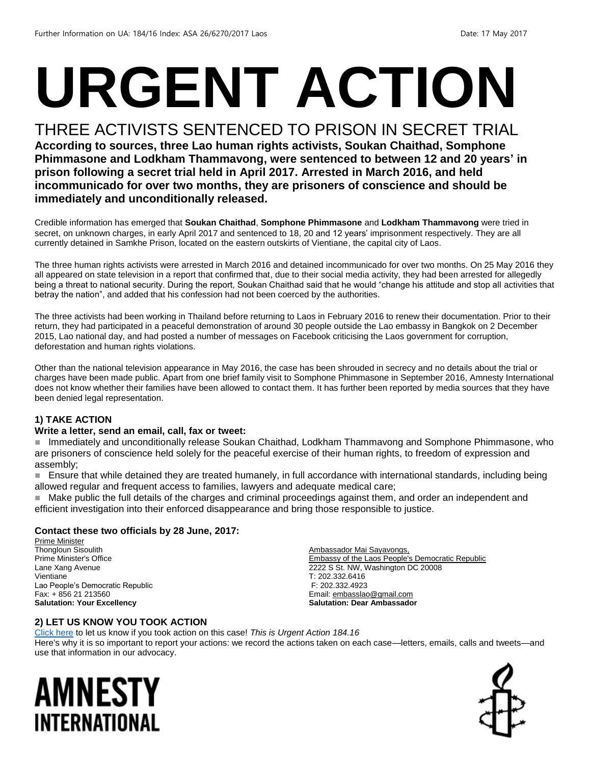# **URGENT ACTION**

#### THREE ACTIVISTS SENTENCED TO PRISON IN SECRET TRIAL

**According to sources, three Lao human rights activists, Soukan Chaithad, Somphone Phimmasone and Lodkham Thammavong, were sentenced to between 12 and 20 years' in prison following a secret trial held in April 2017. Arrested in March 2016, and held incommunicado for over two months, they are prisoners of conscience and should be immediately and unconditionally released.**

Credible information has emerged that **Soukan Chaithad**, **Somphone Phimmasone** and **Lodkham Thammavong** were tried in secret, on unknown charges, in early April 2017 and sentenced to 18, 20 and 12 years' imprisonment respectively. They are all currently detained in Samkhe Prison, located on the eastern outskirts of Vientiane, the capital city of Laos.

The three human rights activists were arrested in March 2016 and detained incommunicado for over two months. On 25 May 2016 they all appeared on state television in a report that confirmed that, due to their social media activity, they had been arrested for allegedly being a threat to national security. During the report, Soukan Chaithad said that he would "change his attitude and stop all activities that betray the nation", and added that his confession had not been coerced by the authorities.

The three activists had been working in Thailand before returning to Laos in February 2016 to renew their documentation. Prior to their return, they had participated in a peaceful demonstration of around 30 people outside the Lao embassy in Bangkok on 2 December 2015, Lao national day, and had posted a number of messages on Facebook criticising the Laos government for corruption, deforestation and human rights violations.

Other than the national television appearance in May 2016, the case has been shrouded in secrecy and no details about the trial or charges have been made public. Apart from one brief family visit to Somphone Phimmasone in September 2016, Amnesty International does not know whether their families have been allowed to contact them. It has further been reported by media sources that they have been denied legal representation.

#### **1) TAKE ACTION**

#### **Write a letter, send an email, call, fax or tweet:**

 Immediately and unconditionally release Soukan Chaithad, Lodkham Thammavong and Somphone Phimmasone, who are prisoners of conscience held solely for the peaceful exercise of their human rights, to freedom of expression and assembly;

 Ensure that while detained they are treated humanely, in full accordance with international standards, including being allowed regular and frequent access to families, lawyers and adequate medical care;

 Make public the full details of the charges and criminal proceedings against them, and order an independent and efficient investigation into their enforced disappearance and bring those responsible to justice.

#### **Contact these two officials by 28 June, 2017:**

Prime Minister Thongloun Sisoulith Prime Minister's Office Lane Xang Avenue Vientiane Lao People's Democratic Republic Fax: + 856 21 213560 **Salutation: Your Excellency**

Ambassador Mai Sayavongs, Embassy of the Laos People's Democratic Republic 2222 S St. NW, Washington DC 20008 T: 202.332.6416 F: 202.332.4923 Email[: embasslao@gmail.com](mailto:embasslao@gmail.com) **Salutation: Dear Ambassador**

#### **2) LET US KNOW YOU TOOK ACTION**

[Click here](https://docs.google.com/forms/d/e/1FAIpQLSf3RUspces4lA9Gt7Fp9GiAcojCs6fnfFOTCLli3Su6c3S8ew/viewform) to let us know if you took action on this case! *This is Urgent Action 184.16* Here's why it is so important to report your actions: we record the actions taken on each case—letters, emails, calls and tweets—and use that information in our advocacy.

### AMNESTY INTERNATIONAL